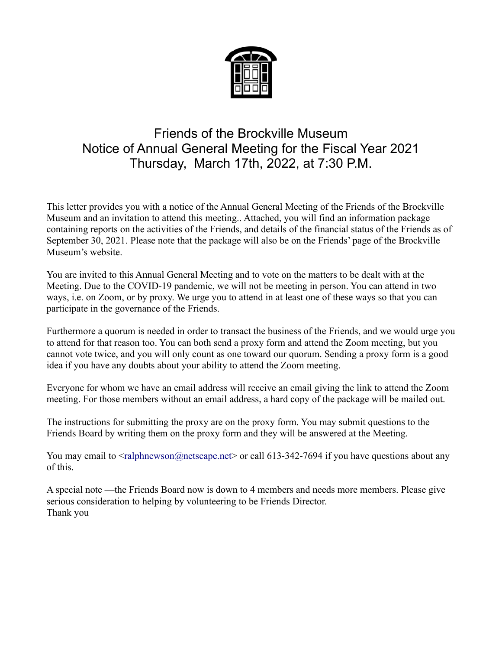

# Friends of the Brockville Museum Notice of Annual General Meeting for the Fiscal Year 2021 Thursday, March 17th, 2022, at 7:30 P.M.

This letter provides you with a notice of the Annual General Meeting of the Friends of the Brockville Museum and an invitation to attend this meeting.. Attached, you will find an information package containing reports on the activities of the Friends, and details of the financial status of the Friends as of September 30, 2021. Please note that the package will also be on the Friends' page of the Brockville Museum's website.

You are invited to this Annual General Meeting and to vote on the matters to be dealt with at the Meeting. Due to the COVID-19 pandemic, we will not be meeting in person. You can attend in two ways, i.e. on Zoom, or by proxy. We urge you to attend in at least one of these ways so that you can participate in the governance of the Friends.

Furthermore a quorum is needed in order to transact the business of the Friends, and we would urge you to attend for that reason too. You can both send a proxy form and attend the Zoom meeting, but you cannot vote twice, and you will only count as one toward our quorum. Sending a proxy form is a good idea if you have any doubts about your ability to attend the Zoom meeting.

Everyone for whom we have an email address will receive an email giving the link to attend the Zoom meeting. For those members without an email address, a hard copy of the package will be mailed out.

The instructions for submitting the proxy are on the proxy form. You may submit questions to the Friends Board by writing them on the proxy form and they will be answered at the Meeting.

You may email to  $\leq$  ralphnewson @netscape.net > or call 613-342-7694 if you have questions about any of this.

A special note —the Friends Board now is down to 4 members and needs more members. Please give serious consideration to helping by volunteering to be Friends Director. Thank you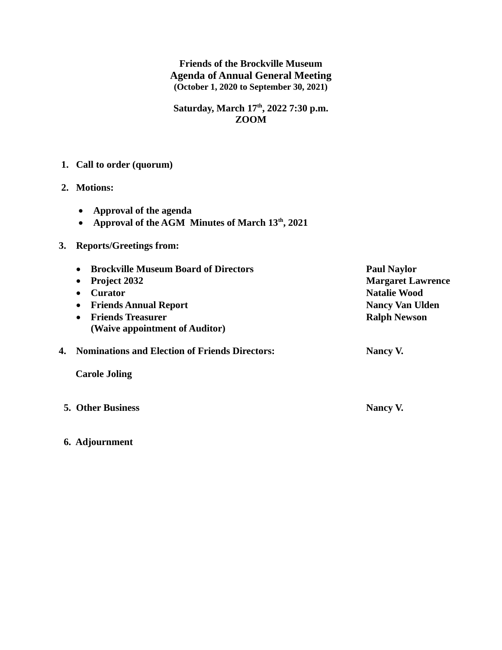**Friends of the Brockville Museum Agenda of Annual General Meeting (October 1, 2020 to September 30, 2021)**

**Saturday, March 17th, 2022 7:30 p.m. ZOOM**

# **1. Call to order (quorum)**

- **2. Motions:** 
	- **Approval of the agenda**
	- **Approval of the AGM Minutes of March 13th, 2021**

## **3. Reports/Greetings from:**

| <b>Brockville Museum Board of Directors</b><br>$\bullet$ | <b>Paul Naylor</b>       |
|----------------------------------------------------------|--------------------------|
| <b>Project 2032</b><br>$\bullet$                         | <b>Margaret Lawrence</b> |
| Curator<br>$\bullet$                                     | <b>Natalie Wood</b>      |
| <b>Friends Annual Report</b><br>$\bullet$                | <b>Nancy Van Ulden</b>   |
| <b>Friends Treasurer</b><br>$\bullet$                    | <b>Ralph Newson</b>      |
| (Waive appointment of Auditor)                           |                          |
| <b>Nominations and Election of Friends Directors:</b>    | Nancy V.                 |
| <b>Carole Joling</b>                                     |                          |

- **5. Other Business Nancy V.** Nancy V.
- **6. Adjournment**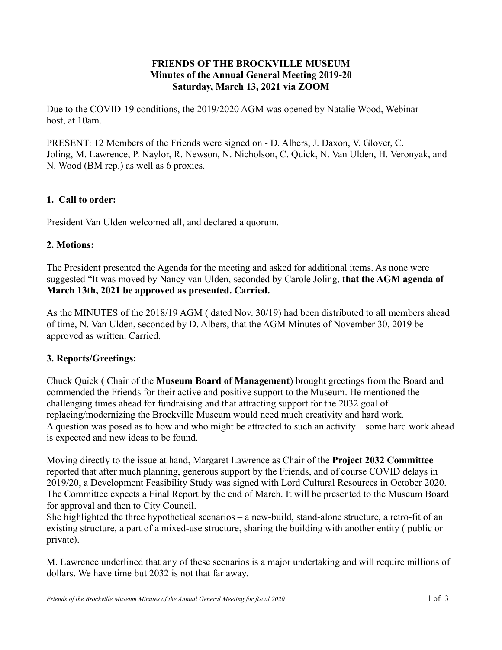## **FRIENDS OF THE BROCKVILLE MUSEUM Minutes of the Annual General Meeting 2019-20 Saturday, March 13, 2021 via ZOOM**

Due to the COVID-19 conditions, the 2019/2020 AGM was opened by Natalie Wood, Webinar host, at 10am.

PRESENT: 12 Members of the Friends were signed on - D. Albers, J. Daxon, V. Glover, C. Joling, M. Lawrence, P. Naylor, R. Newson, N. Nicholson, C. Quick, N. Van Ulden, H. Veronyak, and N. Wood (BM rep.) as well as 6 proxies.

# **1. Call to order:**

President Van Ulden welcomed all, and declared a quorum.

# **2. Motions:**

The President presented the Agenda for the meeting and asked for additional items. As none were suggested "It was moved by Nancy van Ulden, seconded by Carole Joling, **that the AGM agenda of March 13th, 2021 be approved as presented. Carried.**

As the MINUTES of the 2018/19 AGM ( dated Nov. 30/19) had been distributed to all members ahead of time, N. Van Ulden, seconded by D. Albers, that the AGM Minutes of November 30, 2019 be approved as written. Carried.

## **3. Reports/Greetings:**

Chuck Quick ( Chair of the **Museum Board of Management**) brought greetings from the Board and commended the Friends for their active and positive support to the Museum. He mentioned the challenging times ahead for fundraising and that attracting support for the 2032 goal of replacing/modernizing the Brockville Museum would need much creativity and hard work. A question was posed as to how and who might be attracted to such an activity – some hard work ahead is expected and new ideas to be found.

Moving directly to the issue at hand, Margaret Lawrence as Chair of the **Project 2032 Committee** reported that after much planning, generous support by the Friends, and of course COVID delays in 2019/20, a Development Feasibility Study was signed with Lord Cultural Resources in October 2020. The Committee expects a Final Report by the end of March. It will be presented to the Museum Board for approval and then to City Council.

She highlighted the three hypothetical scenarios – a new-build, stand-alone structure, a retro-fit of an existing structure, a part of a mixed-use structure, sharing the building with another entity ( public or private).

M. Lawrence underlined that any of these scenarios is a major undertaking and will require millions of dollars. We have time but 2032 is not that far away.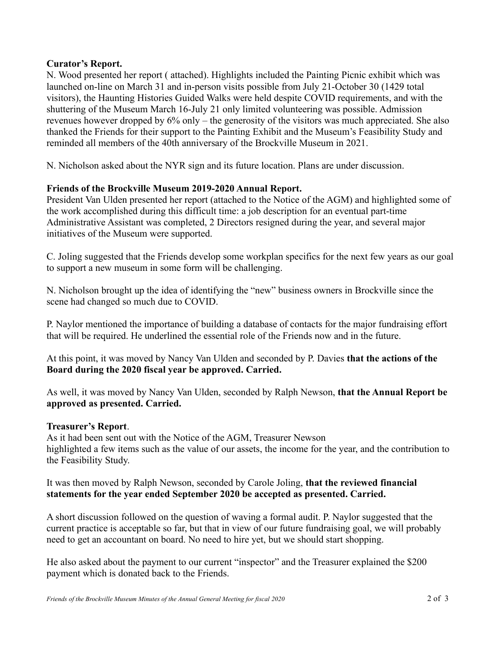#### **Curator's Report.**

N. Wood presented her report ( attached). Highlights included the Painting Picnic exhibit which was launched on-line on March 31 and in-person visits possible from July 21-October 30 (1429 total visitors), the Haunting Histories Guided Walks were held despite COVID requirements, and with the shuttering of the Museum March 16-July 21 only limited volunteering was possible. Admission revenues however dropped by 6% only – the generosity of the visitors was much appreciated. She also thanked the Friends for their support to the Painting Exhibit and the Museum's Feasibility Study and reminded all members of the 40th anniversary of the Brockville Museum in 2021.

N. Nicholson asked about the NYR sign and its future location. Plans are under discussion.

## **Friends of the Brockville Museum 2019-2020 Annual Report.**

President Van Ulden presented her report (attached to the Notice of the AGM) and highlighted some of the work accomplished during this difficult time: a job description for an eventual part-time Administrative Assistant was completed, 2 Directors resigned during the year, and several major initiatives of the Museum were supported.

C. Joling suggested that the Friends develop some workplan specifics for the next few years as our goal to support a new museum in some form will be challenging.

N. Nicholson brought up the idea of identifying the "new" business owners in Brockville since the scene had changed so much due to COVID.

P. Naylor mentioned the importance of building a database of contacts for the major fundraising effort that will be required. He underlined the essential role of the Friends now and in the future.

At this point, it was moved by Nancy Van Ulden and seconded by P. Davies **that the actions of the Board during the 2020 fiscal year be approved. Carried.**

As well, it was moved by Nancy Van Ulden, seconded by Ralph Newson, **that the Annual Report be approved as presented. Carried.**

#### **Treasurer's Report**.

As it had been sent out with the Notice of the AGM, Treasurer Newson highlighted a few items such as the value of our assets, the income for the year, and the contribution to the Feasibility Study.

#### It was then moved by Ralph Newson, seconded by Carole Joling, **that the reviewed financial statements for the year ended September 2020 be accepted as presented. Carried.**

A short discussion followed on the question of waving a formal audit. P. Naylor suggested that the current practice is acceptable so far, but that in view of our future fundraising goal, we will probably need to get an accountant on board. No need to hire yet, but we should start shopping.

He also asked about the payment to our current "inspector" and the Treasurer explained the \$200 payment which is donated back to the Friends.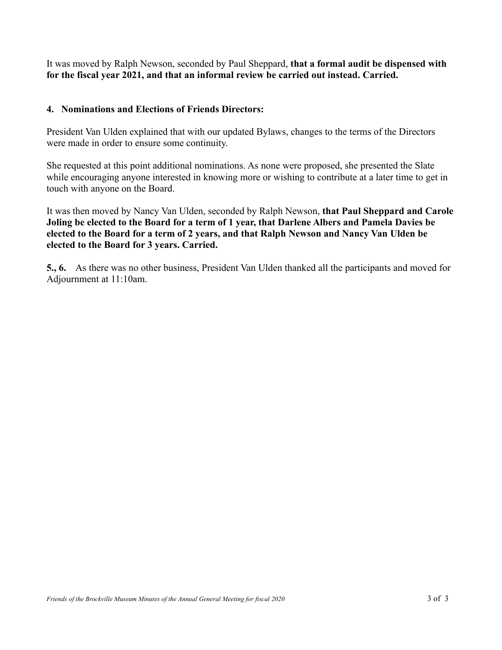It was moved by Ralph Newson, seconded by Paul Sheppard, **that a formal audit be dispensed with for the fiscal year 2021, and that an informal review be carried out instead. Carried.**

#### **4. Nominations and Elections of Friends Directors:**

President Van Ulden explained that with our updated Bylaws, changes to the terms of the Directors were made in order to ensure some continuity.

She requested at this point additional nominations. As none were proposed, she presented the Slate while encouraging anyone interested in knowing more or wishing to contribute at a later time to get in touch with anyone on the Board.

It was then moved by Nancy Van Ulden, seconded by Ralph Newson, **that Paul Sheppard and Carole Joling be elected to the Board for a term of 1 year, that Darlene Albers and Pamela Davies be elected to the Board for a term of 2 years, and that Ralph Newson and Nancy Van Ulden be elected to the Board for 3 years. Carried.**

**5., 6.** As there was no other business, President Van Ulden thanked all the participants and moved for Adjournment at 11:10am.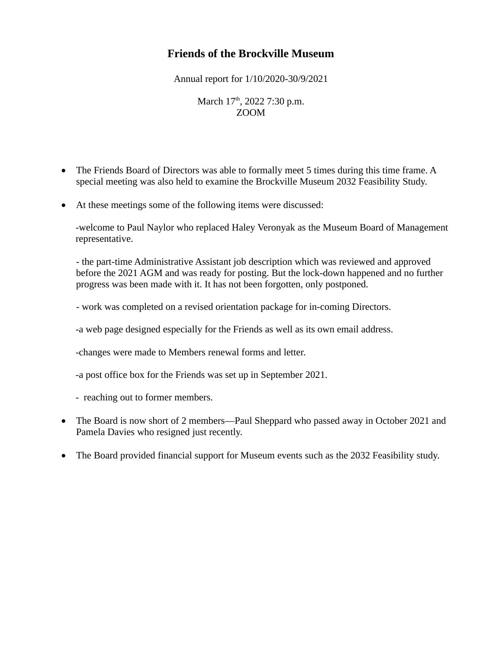# **Friends of the Brockville Museum**

Annual report for 1/10/2020-30/9/2021

March  $17<sup>th</sup>$ , 2022 7:30 p.m. ZOOM

- The Friends Board of Directors was able to formally meet 5 times during this time frame. A special meeting was also held to examine the Brockville Museum 2032 Feasibility Study.
- At these meetings some of the following items were discussed:

-welcome to Paul Naylor who replaced Haley Veronyak as the Museum Board of Management representative.

- the part-time Administrative Assistant job description which was reviewed and approved before the 2021 AGM and was ready for posting. But the lock-down happened and no further progress was been made with it. It has not been forgotten, only postponed.

- work was completed on a revised orientation package for in-coming Directors.

-a web page designed especially for the Friends as well as its own email address.

-changes were made to Members renewal forms and letter.

-a post office box for the Friends was set up in September 2021.

- reaching out to former members.

- The Board is now short of 2 members—Paul Sheppard who passed away in October 2021 and Pamela Davies who resigned just recently.
- The Board provided financial support for Museum events such as the 2032 Feasibility study.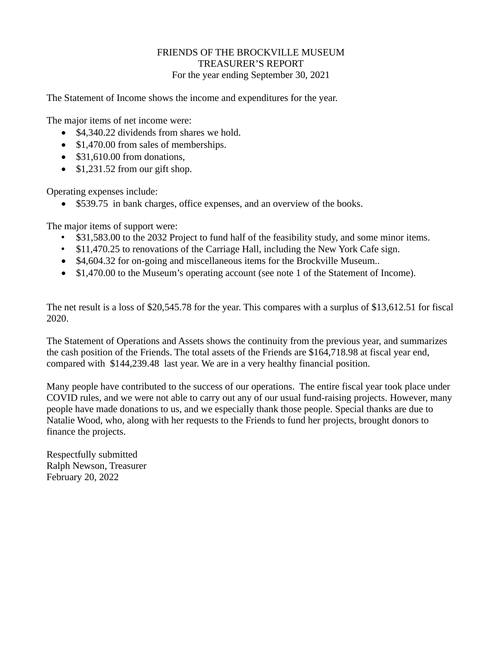#### FRIENDS OF THE BROCKVILLE MUSEUM TREASURER'S REPORT For the year ending September 30, 2021

The Statement of Income shows the income and expenditures for the year.

The major items of net income were:

- \$4,340.22 dividends from shares we hold.
- \$1,470.00 from sales of memberships.
- $\bullet$  \$31,610.00 from donations,
- $\bullet$  \$1,231.52 from our gift shop.

Operating expenses include:

\$539.75 in bank charges, office expenses, and an overview of the books.

The major items of support were:

- \$31,583.00 to the 2032 Project to fund half of the feasibility study, and some minor items.
- \$11,470.25 to renovations of the Carriage Hall, including the New York Cafe sign.
- \$4,604.32 for on-going and miscellaneous items for the Brockville Museum..
- \$1,470.00 to the Museum's operating account (see note 1 of the Statement of Income).

The net result is a loss of \$20,545.78 for the year. This compares with a surplus of \$13,612.51 for fiscal 2020.

The Statement of Operations and Assets shows the continuity from the previous year, and summarizes the cash position of the Friends. The total assets of the Friends are \$164,718.98 at fiscal year end, compared with \$144,239.48 last year. We are in a very healthy financial position.

Many people have contributed to the success of our operations. The entire fiscal year took place under COVID rules, and we were not able to carry out any of our usual fund-raising projects. However, many people have made donations to us, and we especially thank those people. Special thanks are due to Natalie Wood, who, along with her requests to the Friends to fund her projects, brought donors to finance the projects.

Respectfully submitted Ralph Newson, Treasurer February 20, 2022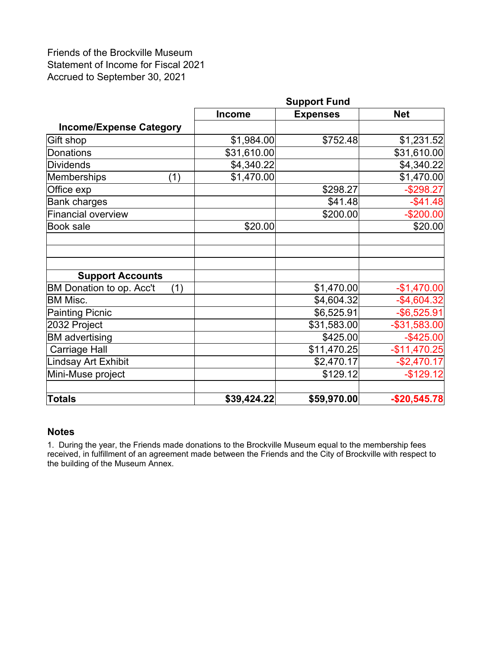Friends of the Brockville Museum Statement of Income for Fiscal 2021 Accrued to September 30, 2021

|                                 | <b>Support Fund</b> |                 |                 |  |
|---------------------------------|---------------------|-----------------|-----------------|--|
|                                 | <b>Income</b>       | <b>Expenses</b> | <b>Net</b>      |  |
| <b>Income/Expense Category</b>  |                     |                 |                 |  |
| Gift shop                       | \$1,984.00          | \$752.48        | \$1,231.52      |  |
| Donations                       | \$31,610.00         |                 | \$31,610.00     |  |
| Dividends                       | \$4,340.22]         |                 | \$4,340.22]     |  |
| Memberships<br>(1)              | \$1,470.00          |                 | \$1,470.00      |  |
| Office exp                      |                     | \$298.27        | $-$298.27$      |  |
| <b>Bank charges</b>             |                     | \$41.48         | $-$41.48$       |  |
| <b>Financial overview</b>       |                     | \$200.00        | $-$200.00$      |  |
| <b>Book sale</b>                | \$20.00             |                 | \$20.00         |  |
|                                 |                     |                 |                 |  |
|                                 |                     |                 |                 |  |
|                                 |                     |                 |                 |  |
| <b>Support Accounts</b>         |                     |                 |                 |  |
| BM Donation to op. Acc't<br>(1) |                     | \$1,470.00      | $-$1,470.00$    |  |
| <b>BM Misc.</b>                 |                     | \$4,604.32      | $-$4,604.32$    |  |
| <b>Painting Picnic</b>          |                     | \$6,525.91      | $-$ \$6,525.91  |  |
| 2032 Project                    |                     | \$31,583.00     | $-$ \$31,583.00 |  |
| <b>BM</b> advertising           |                     | \$425.00        | $-$ \$425.00    |  |
| <b>Carriage Hall</b>            |                     | \$11,470.25     | $-$11,470.25$   |  |
| Lindsay Art Exhibit             |                     | \$2,470.17      | $-$2,470.17$    |  |
| Mini-Muse project               |                     | \$129.12        | $-$129.12$      |  |
|                                 |                     |                 |                 |  |
| <b>Totals</b>                   | \$39,424.22         | \$59,970.00     | $-$20,545.78$   |  |

#### **Notes**

1. During the year, the Friends made donations to the Brockville Museum equal to the membership fees received, in fulfillment of an agreement made between the Friends and the City of Brockville with respect to the building of the Museum Annex.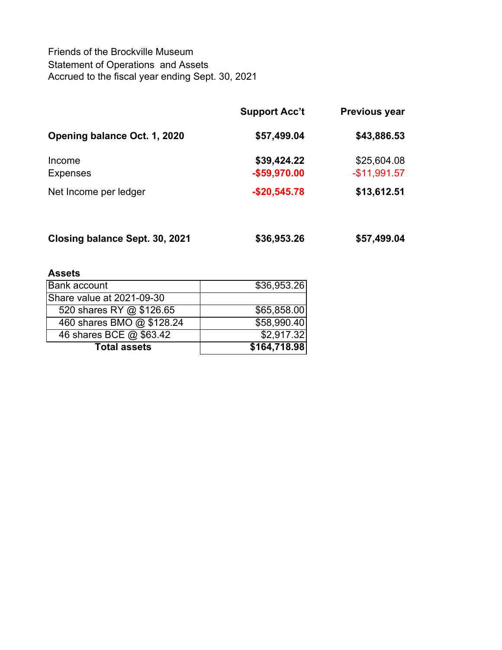Friends of the Brockville Museum Statement of Operations and Assets Accrued to the fiscal year ending Sept. 30, 2021

|                              | <b>Support Acc't</b>         | <b>Previous year</b>         |
|------------------------------|------------------------------|------------------------------|
| Opening balance Oct. 1, 2020 | \$57,499.04                  | \$43,886.53                  |
| Income<br><b>Expenses</b>    | \$39,424.22<br>$-$59,970.00$ | \$25,604.08<br>$-$11,991.57$ |
| Net Income per ledger        | $-$20,545.78$                | \$13,612.51                  |
|                              |                              |                              |

| Closing balance Sept. 30, 2021 | \$36,953.26 | \$57,499.04 |
|--------------------------------|-------------|-------------|
|                                |             |             |

# **Assets**

| <b>Bank account</b>       | \$36,953.26  |
|---------------------------|--------------|
| Share value at 2021-09-30 |              |
| 520 shares RY @ \$126.65  | \$65,858.00  |
| 460 shares BMO @ \$128.24 | \$58,990.40  |
| 46 shares BCE @ \$63.42   | \$2,917.32   |
| <b>Total assets</b>       | \$164,718.98 |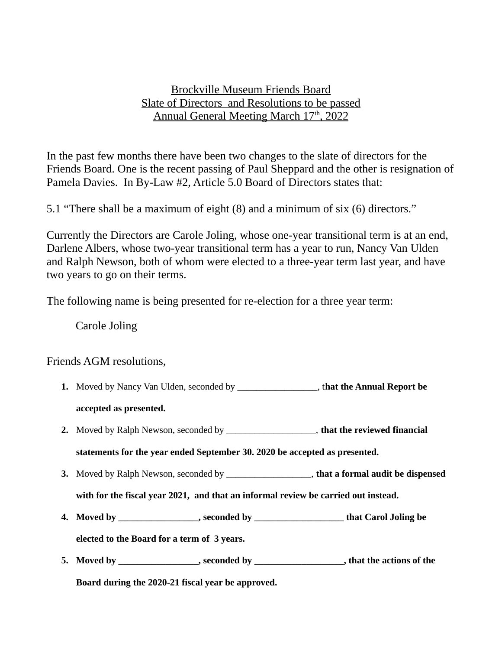# Brockville Museum Friends Board Slate of Directors and Resolutions to be passed Annual General Meeting March 17<sup>th</sup>, 2022

In the past few months there have been two changes to the slate of directors for the Friends Board. One is the recent passing of Paul Sheppard and the other is resignation of Pamela Davies. In By-Law #2, Article 5.0 Board of Directors states that:

5.1 "There shall be a maximum of eight (8) and a minimum of six (6) directors."

Currently the Directors are Carole Joling, whose one-year transitional term is at an end, Darlene Albers, whose two-year transitional term has a year to run, Nancy Van Ulden and Ralph Newson, both of whom were elected to a three-year term last year, and have two years to go on their terms.

The following name is being presented for re-election for a three year term:

Carole Joling

Friends AGM resolutions,

**1.** Moved by Nancy Van Ulden, seconded by \_\_\_\_\_\_\_\_\_\_\_\_\_\_\_\_\_, t**hat the Annual Report be** 

## **accepted as presented.**

**2.** Moved by Ralph Newson, seconded by \_\_\_\_\_\_\_\_\_\_\_\_\_\_\_\_\_\_\_, **that the reviewed financial** 

**statements for the year ended September 30. 2020 be accepted as presented.** 

- **3.** Moved by Ralph Newson, seconded by \_\_\_\_\_\_\_\_\_\_\_\_\_\_\_\_\_\_, **that a formal audit be dispensed** 
	- **with for the fiscal year 2021, and that an informal review be carried out instead.**
- **4. Moved by \_\_\_\_\_\_\_\_\_\_\_\_\_\_\_\_\_, seconded by \_\_\_\_\_\_\_\_\_\_\_\_\_\_\_\_\_\_\_ that Carol Joling be**

**elected to the Board for a term of 3 years.**

**5. Moved by \_\_\_\_\_\_\_\_\_\_\_\_\_\_\_\_\_, seconded by \_\_\_\_\_\_\_\_\_\_\_\_\_\_\_\_\_\_\_, that the actions of the** 

**Board during the 2020-21 fiscal year be approved.**